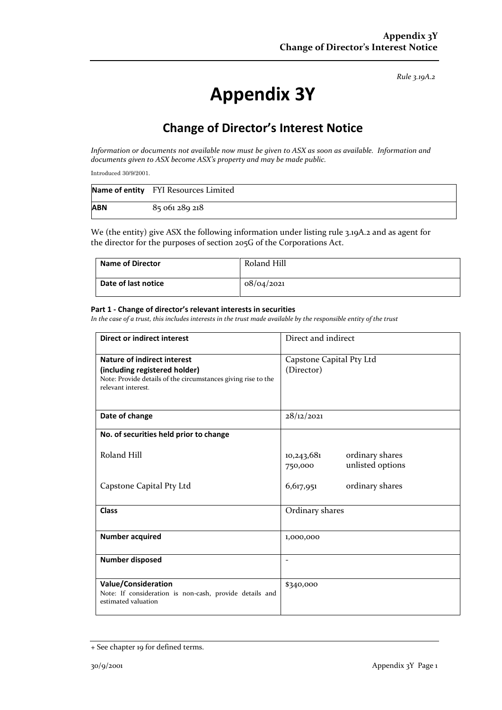*Rule 3.19A.2*

# **Appendix 3Y**

# **Change of Director's Interest Notice**

*Information or documents not available now must be given to ASX as soon as available. Information and documents given to ASX become ASX's property and may be made public.*

Introduced 30/9/2001.

|            | Name of entity FYI Resources Limited |
|------------|--------------------------------------|
| <b>ABN</b> | 85 061 289 218                       |

We (the entity) give ASX the following information under listing rule 3.19A.2 and as agent for the director for the purposes of section 205G of the Corporations Act.

| Name of Director    | Roland Hill |
|---------------------|-------------|
| Date of last notice | 08/04/2021  |

#### **Part 1 - Change of director's relevant interests in securities**

*In the case of a trust, this includes interests in the trust made available by the responsible entity of the trust*

| <b>Direct or indirect interest</b>                                                                                                                         | Direct and indirect                                          |  |
|------------------------------------------------------------------------------------------------------------------------------------------------------------|--------------------------------------------------------------|--|
| <b>Nature of indirect interest</b><br>(including registered holder)<br>Note: Provide details of the circumstances giving rise to the<br>relevant interest. | Capstone Capital Pty Ltd<br>(Director)                       |  |
| Date of change                                                                                                                                             | 28/12/2021                                                   |  |
| No. of securities held prior to change                                                                                                                     |                                                              |  |
| Roland Hill                                                                                                                                                | ordinary shares<br>10,243,681<br>unlisted options<br>750,000 |  |
| Capstone Capital Pty Ltd                                                                                                                                   | ordinary shares<br>6,617,951                                 |  |
| <b>Class</b>                                                                                                                                               | Ordinary shares                                              |  |
| <b>Number acquired</b>                                                                                                                                     | 1,000,000                                                    |  |
| Number disposed                                                                                                                                            | $\overline{\phantom{a}}$                                     |  |
| <b>Value/Consideration</b><br>Note: If consideration is non-cash, provide details and<br>estimated valuation                                               | \$340,000                                                    |  |

<sup>+</sup> See chapter 19 for defined terms.